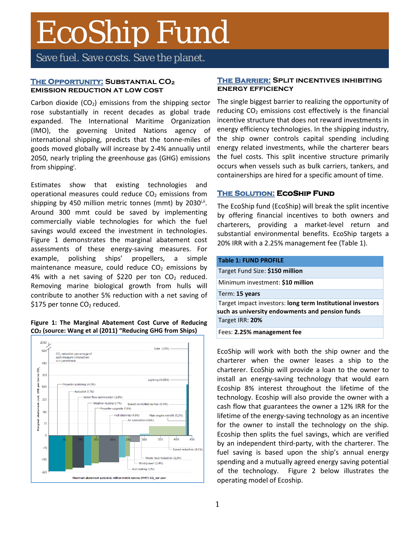# EcoShip Fund

Save fuel. Save costs. Save the planet.

## **THE OPPORTUNITY: SUBSTANTIAL CO2 emission reduction at low cost**

Carbon dioxide  $(CO_2)$  emissions from the shipping sector rose substantially in recent decades as global trade expanded. The International Maritime Organization (IMO), the governing United Nations agency of international shipping, predicts that the tonne-miles of goods moved globally will increase by 2-4% annually until 2050, nearly tripling the greenhouse gas (GHG) emissions from shipping<sup>i</sup>.

Estimates show that existing technologies and operational measures could reduce  $CO<sub>2</sub>$  emissions from shipping by 450 million metric tonnes (mmt) by 2030<sup>i,ii</sup>. Around 300 mmt could be saved by implementing commercially viable technologies for which the fuel savings would exceed the investment in technologies. Figure 1 demonstrates the marginal abatement cost assessments of these energy-saving measures. For example, polishing ships' propellers, a simple maintenance measure, could reduce  $CO<sub>2</sub>$  emissions by 4% with a net saving of \$220 per ton  $CO<sub>2</sub>$  reduced. Removing marine biological growth from hulls will contribute to another 5% reduction with a net saving of \$175 per tonne CO<sub>2</sub> reduced.

### **Figure 1: The Marginal Abatement Cost Curve of Reducing CO2 (source: Wang et al (2011) "Reducing GHG from Ships)**



### **The Barrier: Split incentives inhibiting energy efficiency**

The single biggest barrier to realizing the opportunity of reducing  $CO<sub>2</sub>$  emissions cost effectively is the financial incentive structure that does not reward investments in energy efficiency technologies. In the shipping industry, the ship owner controls capital spending including energy related investments, while the charterer bears the fuel costs. This split incentive structure primarily occurs when vessels such as bulk carriers, tankers, and containerships are hired for a specific amount of time.

# **The Solution: EcoShip Fund**

The EcoShip fund (EcoShip) will break the split incentive by offering financial incentives to both owners and charterers, providing a market-level return and substantial environmental benefits. EcoShip targets a 20% IRR with a 2.25% management fee (Table 1).

| <b>Table 1: FUND PROFILE</b>                                                                                  |
|---------------------------------------------------------------------------------------------------------------|
| Target Fund Size: \$150 million                                                                               |
| Minimum investment: \$10 million                                                                              |
| Term: 15 years                                                                                                |
| Target impact investors: long term Institutional investors<br>such as university endowments and pension funds |
| Target IRR: 20%                                                                                               |
| Fees: 2.25% management fee                                                                                    |

EcoShip will work with both the ship owner and the charterer when the owner leases a ship to the charterer. EcoShip will provide a loan to the owner to install an energy-saving technology that would earn Ecoship 8% interest throughout the lifetime of the technology. Ecoship will also provide the owner with a cash flow that guarantees the owner a 12% IRR for the lifetime of the energy-saving technology as an incentive for the owner to install the technology on the ship. Ecoship then splits the fuel savings, which are verified by an independent third-party, with the charterer. The fuel saving is based upon the ship's annual energy spending and a mutually agreed energy saving potential of the technology. Figure 2 below illustrates the operating model of Ecoship.